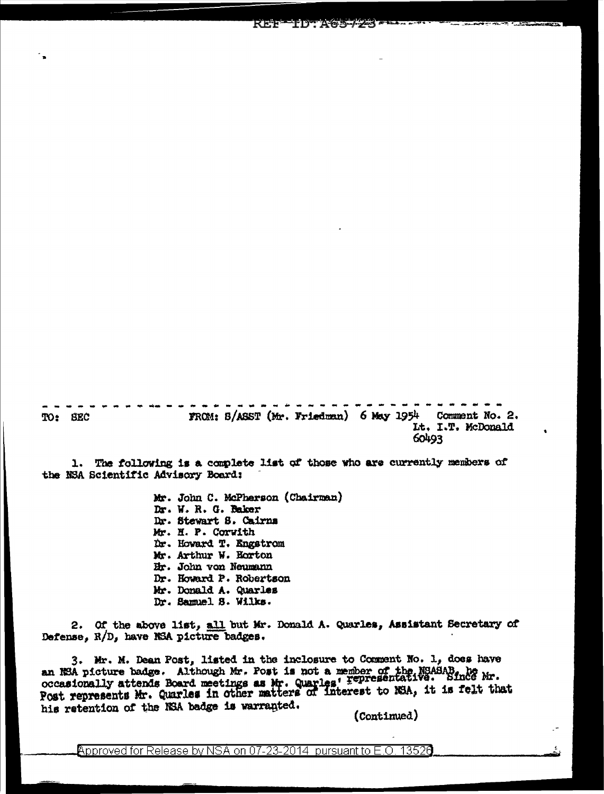FROM: B/ASST (Mr. Friedman) 6 May 1954 Comment No. 2. TO: SEC Lt. I.T. McDonald 60493

REF

**TD A65-72** 

1. The following is a complete list of those who are currently members of the NSA Scientific Advisory Board:

> Mr. John C. McPherson (Chairman) Dr. W. R. G. Baker Dr. Stewart S. Cairns Mr. H. P. Corwith Dr. Howard T. Engstrom Mr. Arthur W. Horton Hr. John von Neumann Dr. Howard P. Robertson Mr. Donald A. Quarles Dr. Samuel S. Wilks.

2. Of the above list, all but Mr. Donald A. Quarles, Assistant Secretary of Defense. R/D, have NSA picture badges.

3. Mr. M. Dean Post, listed in the inclosure to Comment No. 1, does have an NSA picture badge. Although Mr. Post is not a member of the NSASAB, he occasionally attends Board meetings as Mr. Quarles' Fepresentative. Since Mr. Post represents Mr. Quarles in other matters of interest to NSA, it is his retention of the NSA badge is warranted.

(Continued)